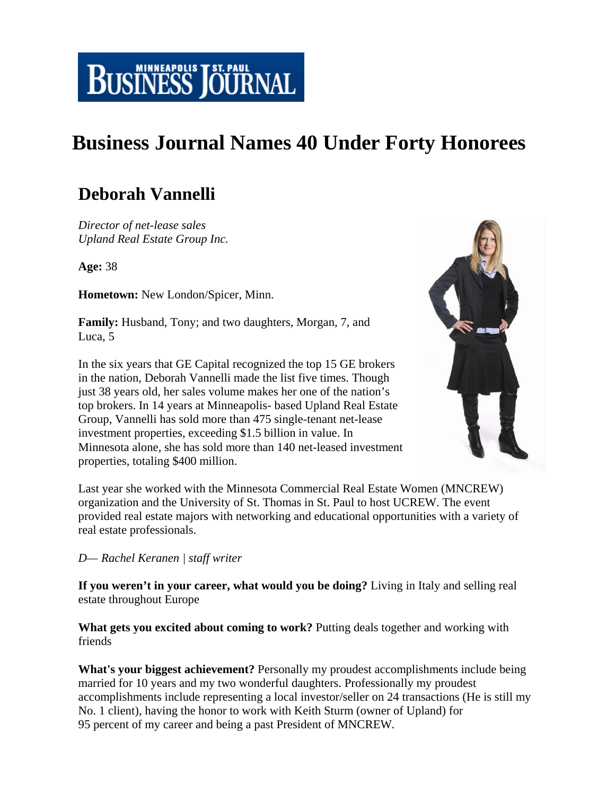

## **Business Journal Names 40 Under Forty Honorees**

## **Deborah Vannelli**

*Director of net-lease sales Upland Real Estate Group Inc.*

**Age:** 38

**Hometown:** New London/Spicer, Minn.

**Family:** Husband, Tony; and two daughters, Morgan, 7, and Luca, 5

In the six years that GE Capital recognized the top 15 GE brokers in the nation, Deborah Vannelli made the list five times. Though just 38 years old, her sales volume makes her one of the nation's top brokers. In 14 years at Minneapolis- based Upland Real Estate Group, Vannelli has sold more than 475 single-tenant net-lease investment properties, exceeding \$1.5 billion in value. In Minnesota alone, she has sold more than 140 net-leased investment properties, totaling \$400 million.



Last year she worked with the Minnesota Commercial Real Estate Women (MNCREW) organization and the University of St. Thomas in St. Paul to host UCREW. The event provided real estate majors with networking and educational opportunities with a variety of real estate professionals.

## *D— Rachel Keranen | staff writer*

**If you weren't in your career, what would you be doing?** Living in Italy and selling real estate throughout Europe

**What gets you excited about coming to work?** Putting deals together and working with friends

**What's your biggest achievement?** Personally my proudest accomplishments include being married for 10 years and my two wonderful daughters. Professionally my proudest accomplishments include representing a local investor/seller on 24 transactions (He is still my No. 1 client), having the honor to work with Keith Sturm (owner of Upland) for 95 percent of my career and being a past President of MNCREW.